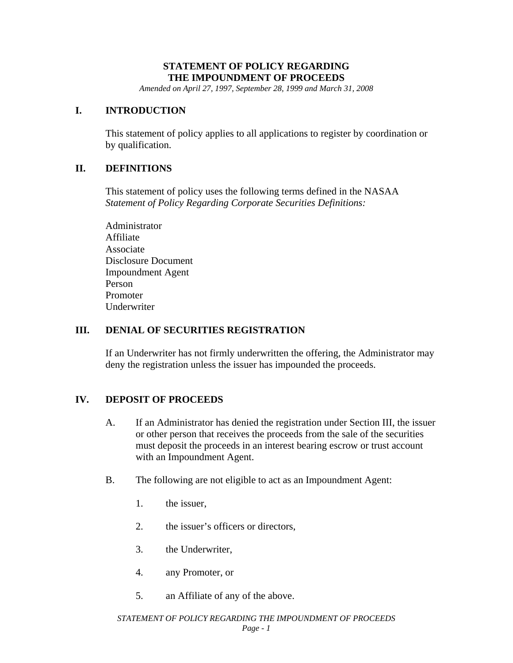## **STATEMENT OF POLICY REGARDING THE IMPOUNDMENT OF PROCEEDS**

*Amended on April 27, 1997, September 28, 1999 and March 31, 2008* 

### **I. INTRODUCTION**

This statement of policy applies to all applications to register by coordination or by qualification.

## **II. DEFINITIONS**

This statement of policy uses the following terms defined in the NASAA *Statement of Policy Regarding Corporate Securities Definitions:* 

Administrator Affiliate Associate Disclosure Document Impoundment Agent Person Promoter Underwriter

#### **III. DENIAL OF SECURITIES REGISTRATION**

If an Underwriter has not firmly underwritten the offering, the Administrator may deny the registration unless the issuer has impounded the proceeds.

## **IV. DEPOSIT OF PROCEEDS**

- A. If an Administrator has denied the registration under Section III, the issuer or other person that receives the proceeds from the sale of the securities must deposit the proceeds in an interest bearing escrow or trust account with an Impoundment Agent.
- B. The following are not eligible to act as an Impoundment Agent:
	- 1. the issuer,
	- 2. the issuer's officers or directors,
	- 3. the Underwriter,
	- 4. any Promoter, or
	- 5. an Affiliate of any of the above.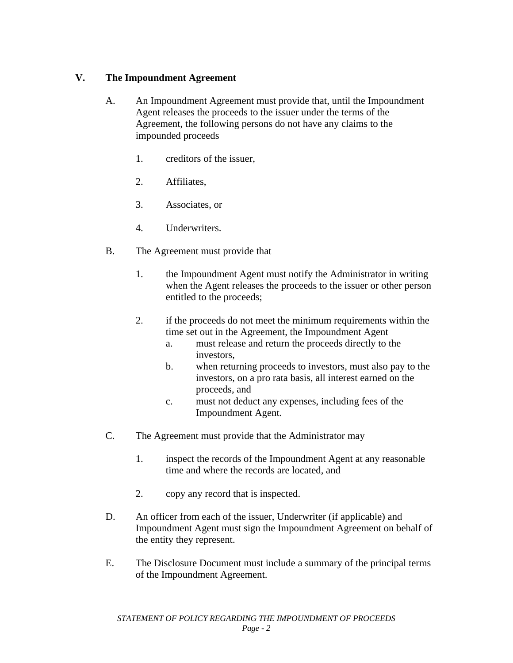# **V. The Impoundment Agreement**

- A. An Impoundment Agreement must provide that, until the Impoundment Agent releases the proceeds to the issuer under the terms of the Agreement, the following persons do not have any claims to the impounded proceeds
	- 1. creditors of the issuer,
	- 2. Affiliates,
	- 3. Associates, or
	- 4. Underwriters.
- B. The Agreement must provide that
	- 1. the Impoundment Agent must notify the Administrator in writing when the Agent releases the proceeds to the issuer or other person entitled to the proceeds;
	- 2. if the proceeds do not meet the minimum requirements within the time set out in the Agreement, the Impoundment Agent
		- a. must release and return the proceeds directly to the investors,
		- b. when returning proceeds to investors, must also pay to the investors, on a pro rata basis, all interest earned on the proceeds, and
		- c. must not deduct any expenses, including fees of the Impoundment Agent.
- C. The Agreement must provide that the Administrator may
	- 1. inspect the records of the Impoundment Agent at any reasonable time and where the records are located, and
	- 2. copy any record that is inspected.
- D. An officer from each of the issuer, Underwriter (if applicable) and Impoundment Agent must sign the Impoundment Agreement on behalf of the entity they represent.
- E. The Disclosure Document must include a summary of the principal terms of the Impoundment Agreement.